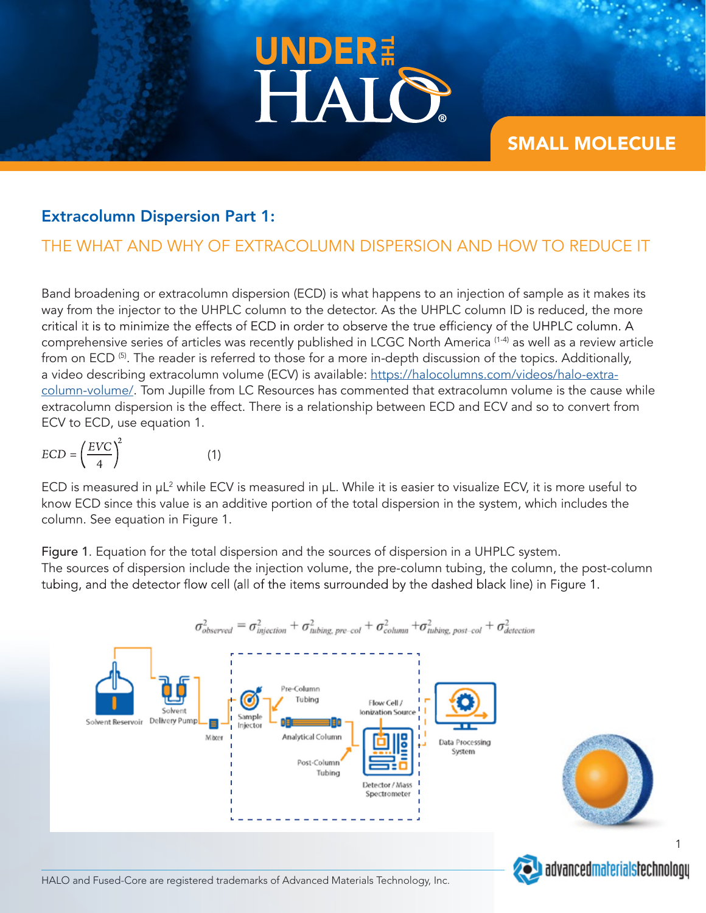

# SMALL MOLECULE

#### Extracolumn Dispersion Part 1:

# THE WHAT AND WHY OF EXTRACOLUMN DISPERSION AND HOW TO REDUCE IT

Band broadening or extracolumn dispersion (ECD) is what happens to an injection of sample as it makes its way from the injector to the UHPLC column to the detector. As the UHPLC column ID is reduced, the more critical it is to minimize the effects of ECD in order to observe the true efficiency of the UHPLC column. A comprehensive series of articles was recently published in LCGC North America (1-4) as well as a review article from on ECD<sup>(5)</sup>. The reader is referred to those for a more in-depth discussion of the topics. Additionally, a video describing extracolumn volume (ECV) is available: https://halocolumns.com/videos/halo-extracolumn-volume/. Tom Jupille from LC Resources has commented that extracolumn volume is the cause while extracolumn dispersion is the effect. There is a relationship between ECD and ECV and so to convert from ECV to ECD, use equation 1.

$$
ECD = \left(\frac{EVC}{4}\right)^2\tag{1}
$$

ECD is measured in  $\mu$ L<sup>2</sup> while ECV is measured in  $\mu$ L. While it is easier to visualize ECV, it is more useful to know ECD since this value is an additive portion of the total dispersion in the system, which includes the column. See equation in Figure 1.

Figure 1. Equation for the total dispersion and the sources of dispersion in a UHPLC system. The sources of dispersion include the injection volume, the pre-column tubing, the column, the post-column tubing, and the detector flow cell (all of the items surrounded by the dashed black line) in Figure 1.





1



HALO and Fused-Core are registered trademarks of Advanced Materials Technology, Inc.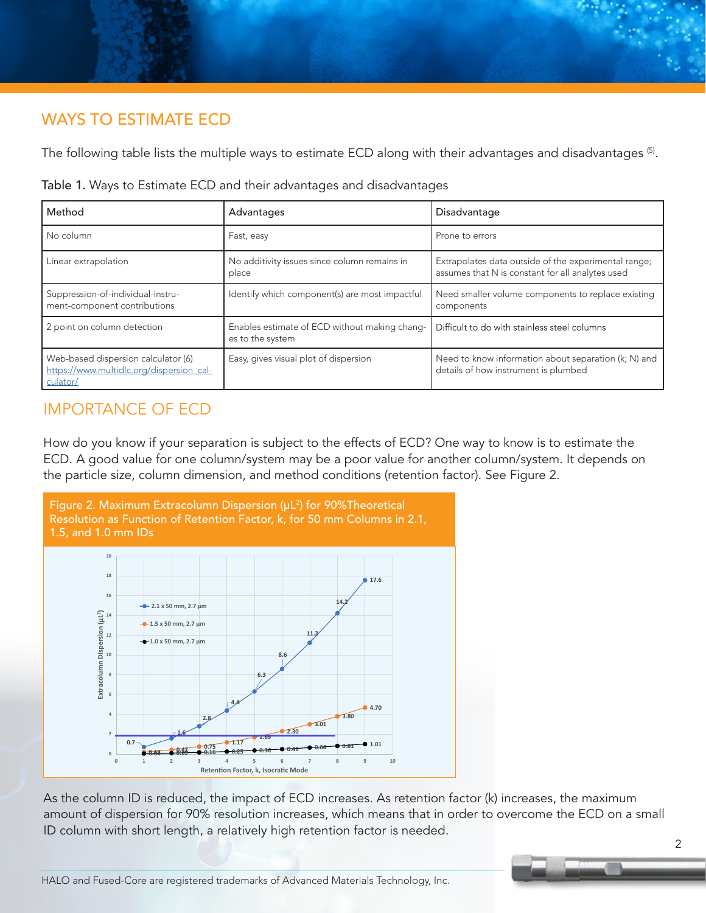# WAYS TO ESTIMATE ECD

The following table lists the multiple ways to estimate ECD along with their advantages and disadvantages (5).

| Method                                                                                      | Advantages                                                        | Disadvantage                                                                                             |
|---------------------------------------------------------------------------------------------|-------------------------------------------------------------------|----------------------------------------------------------------------------------------------------------|
| No column                                                                                   | Fast, easy                                                        | Prone to errors                                                                                          |
| Linear extrapolation                                                                        | No additivity issues since column remains in<br>place             | Extrapolates data outside of the experimental range;<br>assumes that N is constant for all analytes used |
| Suppression-of-individual-instru-<br>ment-component contributions                           | Identify which component(s) are most impactful                    | Need smaller volume components to replace existing<br>components                                         |
| 2 point on column detection                                                                 | Enables estimate of ECD without making chang-<br>es to the system | Difficult to do with stainless steel columns                                                             |
| Web-based dispersion calculator (6)<br>https://www.multidlc.org/dispersion_cal-<br>culator/ | Easy, gives visual plot of dispersion                             | Need to know information about separation (k; N) and<br>details of how instrument is plumbed             |

Table 1. Ways to Estimate ECD and their advantages and disadvantages

## IMPORTANCE OF ECD

How do you know if your separation is subject to the effects of ECD? One way to know is to estimate the ECD. A good value for one column/system may be a poor value for another column/system. It depends on the particle size, column dimension, and method conditions (retention factor). See Figure 2.



As the column ID is reduced, the impact of ECD increases. As retention factor (k) increases, the maximum amount of dispersion for 90% resolution increases, which means that in order to overcome the ECD on a small ID column with short length, a relatively high retention factor is needed.

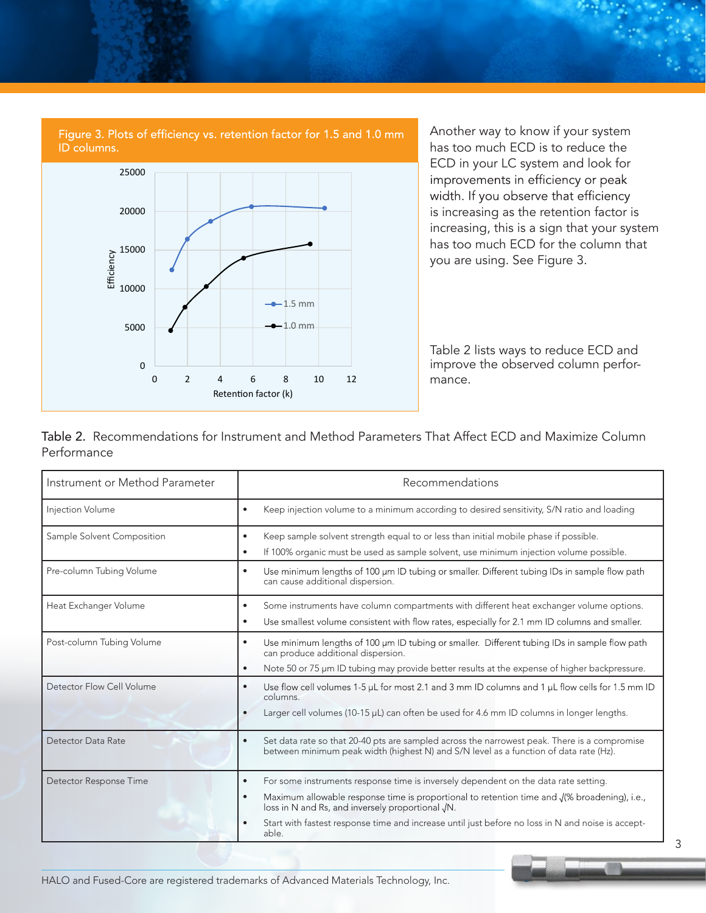

Another way to know if your system has too much ECD is to reduce the ECD in your LC system and look for<br>improvements in efficiency or peak width. If you observe that efficiency is increasing as the retention factor is increasing, this is a sign that your system has too much ECD for the column that you are using. See Figure 3.

Table 2 lists ways to reduce ECD and improve the observed column performance.

Table 2. Recommendations for Instrument and Method Parameters That Affect ECD and Maximize Column Performance

| Instrument or Method Parameter | Recommendations                                                                                                                                                                                                                                                                                                                                                                            |  |
|--------------------------------|--------------------------------------------------------------------------------------------------------------------------------------------------------------------------------------------------------------------------------------------------------------------------------------------------------------------------------------------------------------------------------------------|--|
| Injection Volume               | Keep injection volume to a minimum according to desired sensitivity, S/N ratio and loading<br>$\bullet$                                                                                                                                                                                                                                                                                    |  |
| Sample Solvent Composition     | Keep sample solvent strength equal to or less than initial mobile phase if possible.<br>$\bullet$<br>If 100% organic must be used as sample solvent, use minimum injection volume possible.<br>$\bullet$                                                                                                                                                                                   |  |
| Pre-column Tubing Volume       | Use minimum lengths of 100 µm ID tubing or smaller. Different tubing IDs in sample flow path<br>$\bullet$<br>can cause additional dispersion.                                                                                                                                                                                                                                              |  |
| Heat Exchanger Volume          | Some instruments have column compartments with different heat exchanger volume options.<br>$\bullet$<br>Use smallest volume consistent with flow rates, especially for 2.1 mm ID columns and smaller.<br>$\bullet$                                                                                                                                                                         |  |
| Post-column Tubing Volume      | Use minimum lengths of 100 µm ID tubing or smaller. Different tubing IDs in sample flow path<br>$\bullet$<br>can produce additional dispersion.<br>Note 50 or 75 um ID tubing may provide better results at the expense of higher backpressure.<br>$\bullet$                                                                                                                               |  |
| Detector Flow Cell Volume      | Use flow cell volumes 1-5 $\mu$ L for most 2.1 and 3 mm ID columns and 1 $\mu$ L flow cells for 1.5 mm ID<br>$\bullet$<br>columns.<br>Larger cell volumes (10-15 µL) can often be used for 4.6 mm ID columns in longer lengths.<br>$\bullet$                                                                                                                                               |  |
| Detector Data Rate             | Set data rate so that 20-40 pts are sampled across the narrowest peak. There is a compromise<br>$\bullet$<br>between minimum peak width (highest N) and S/N level as a function of data rate (Hz).                                                                                                                                                                                         |  |
| Detector Response Time         | For some instruments response time is inversely dependent on the data rate setting.<br>$\bullet$<br>Maximum allowable response time is proportional to retention time and $\sqrt{ }$ broadening), i.e.,<br>$\bullet$<br>loss in N and Rs, and inversely proportional JN.<br>Start with fastest response time and increase until just before no loss in N and noise is accept-<br>$\bullet$ |  |
|                                | able.                                                                                                                                                                                                                                                                                                                                                                                      |  |

HALO and Fused-Core are registered trademarks of Advanced Materials Technology, Inc.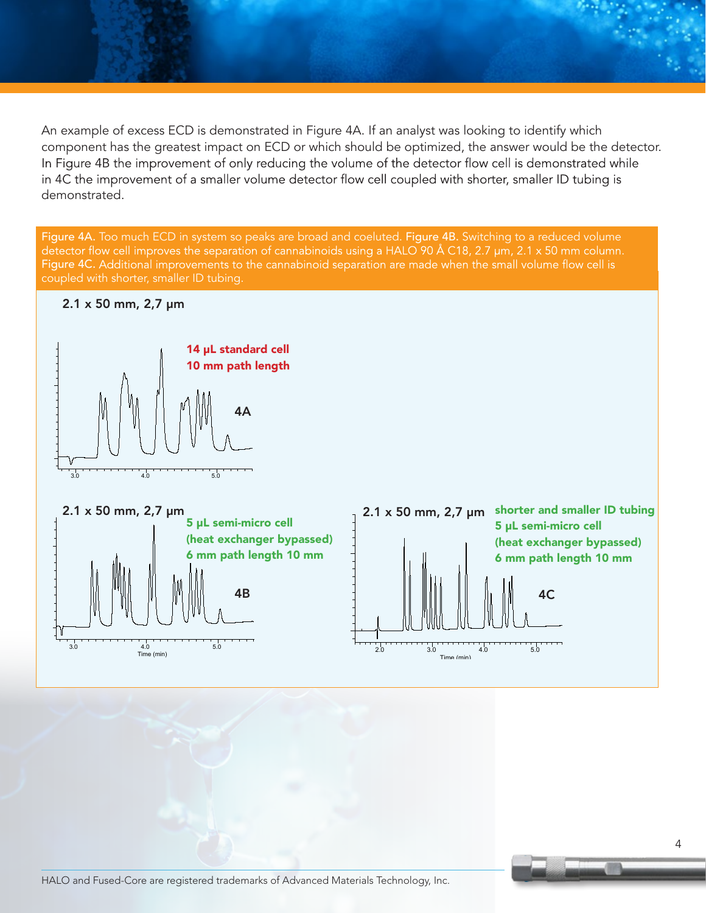An example of excess ECD is demonstrated in Figure 4A. If an analyst was looking to identify which component has the greatest impact on ECD or which should be optimized, the answer would be the detector. In Figure 4B the improvement of only reducing the volume of the detector flow cell is demonstrated while in 4C the improvement of a smaller volume detector flow cell coupled with shorter, smaller ID tubing is demonstrated.

Figure 4A. Too much ECD in system so peaks are broad and coeluted. Figure 4B. Switching to a reduced volume detector flow cell improves the separation of cannabinoids using a HALO 90 Å C18, 2.7  $\mu$ m, 2.1 x 50 mm column. Figure 4C. Additional improvements to the cannabinoid separation are made when the small volume flow cell is coupled with shorter, smaller ID tubing.

#### 2.1 x 50 mm, 2,7 µm





HALO and Fused-Core are registered trademarks of Advanced Materials Technology, Inc.